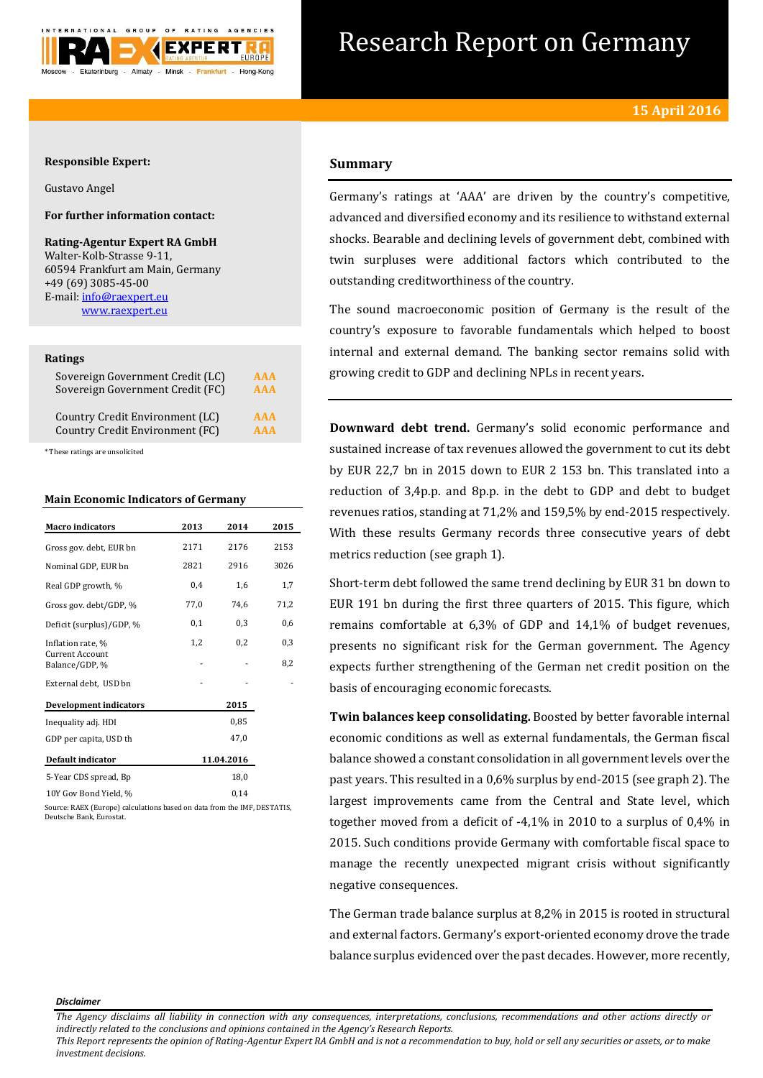

# Research Report on Germany

## **Responsible Expert:**

Gustavo Angel

# **For further information contact:**

**Rating-Agentur Expert RA GmbH** Walter-Kolb-Strasse 9-11, 60594 Frankfurt am Main, Germany +49 (69) 3085-45-00 E-mail[: info@raexpert.eu](mailto:info@raexpert.eu) [www.raexpert.eu](http://raexpert.eu/)

## **Ratings**

| Sovereign Government Credit (LC) | <b>AAA</b> |
|----------------------------------|------------|
| Sovereign Government Credit (FC) | <b>AAA</b> |
| Country Credit Environment (LC)  | <b>AAA</b> |
| Country Credit Environment (FC)  | <b>AAA</b> |

\* These ratings are unsolicited

## **Main Economic Indicators of Germany**

| <b>Macro indicators</b>                                                | 2013 | 2014       | 2015 |
|------------------------------------------------------------------------|------|------------|------|
| Gross gov. debt, EUR bn                                                | 2171 | 2176       | 2153 |
| Nominal GDP, EUR bn                                                    | 2821 | 2916       | 3026 |
| Real GDP growth, %                                                     | 0,4  | 1,6        | 1,7  |
| Gross gov. debt/GDP, %                                                 | 77,0 | 74,6       | 71,2 |
| Deficit (surplus)/GDP, %                                               | 0,1  | 0,3        | 0,6  |
| Inflation rate, %                                                      | 1,2  | 0,2        | 0,3  |
| <b>Current Account</b><br>Balance/GDP, %                               |      |            | 8,2  |
| External debt, USD bn                                                  |      |            |      |
| <b>Development indicators</b>                                          |      | 2015       |      |
| Inequality adj. HDI                                                    |      | 0,85       |      |
| GDP per capita, USD th                                                 |      | 47.0       |      |
| Default indicator                                                      |      | 11.04.2016 |      |
| 5-Year CDS spread, Bp                                                  |      | 18,0       |      |
| 10Y Gov Bond Yield, %                                                  |      | 0,14       |      |
| Corners DAPV (Process) actual street and an data from the IMP DPCPATIC |      |            |      |

Source: RAEX (Europe) calculations based on data from the IMF, DESTATIS, Deutsche Bank, Eurostat.

## **Summary**

Germany's ratings at 'AAA' are driven by the country's competitive, advanced and diversified economy and its resilience to withstand external shocks. Bearable and declining levels of government debt, combined with twin surpluses were additional factors which contributed to the outstanding creditworthiness of the country.

The sound macroeconomic position of Germany is the result of the country's exposure to favorable fundamentals which helped to boost internal and external demand. The banking sector remains solid with growing credit to GDP and declining NPLs in recent years.

**Downward debt trend.** Germany's solid economic performance and sustained increase of tax revenues allowed the government to cut its debt by EUR 22,7 bn in 2015 down to EUR 2 153 bn. This translated into a reduction of 3,4p.p. and 8p.p. in the debt to GDP and debt to budget revenues ratios, standing at 71,2% and 159,5% by end-2015 respectively. With these results Germany records three consecutive years of debt metrics reduction (see graph 1).

Short-term debt followed the same trend declining by EUR 31 bn down to EUR 191 bn during the first three quarters of 2015. This figure, which remains comfortable at 6,3% of GDP and 14,1% of budget revenues, presents no significant risk for the German government. The Agency expects further strengthening of the German net credit position on the basis of encouraging economic forecasts.

**Twin balances keep consolidating.** Boosted by better favorable internal economic conditions as well as external fundamentals, the German fiscal balance showed a constant consolidation in all government levels over the past years. This resulted in a 0,6% surplus by end-2015 (see graph 2). The largest improvements came from the Central and State level, which together moved from a deficit of -4,1% in 2010 to a surplus of 0,4% in 2015. Such conditions provide Germany with comfortable fiscal space to manage the recently unexpected migrant crisis without significantly negative consequences.

The German trade balance surplus at 8,2% in 2015 is rooted in structural and external factors. Germany's export-oriented economy drove the trade balance surplus evidenced over the past decades. However, more recently,

#### *Disclaimer*

*This Report represents the opinion of Rating-Agentur Expert RA GmbH and is not a recommendation to buy, hold or sell any securities or assets, or to make investment decisions.*

*The Agency disclaims all liability in connection with any consequences, interpretations, conclusions, recommendations and other actions directly or indirectly related to the conclusions and opinions contained in the Agency's Research Reports.*